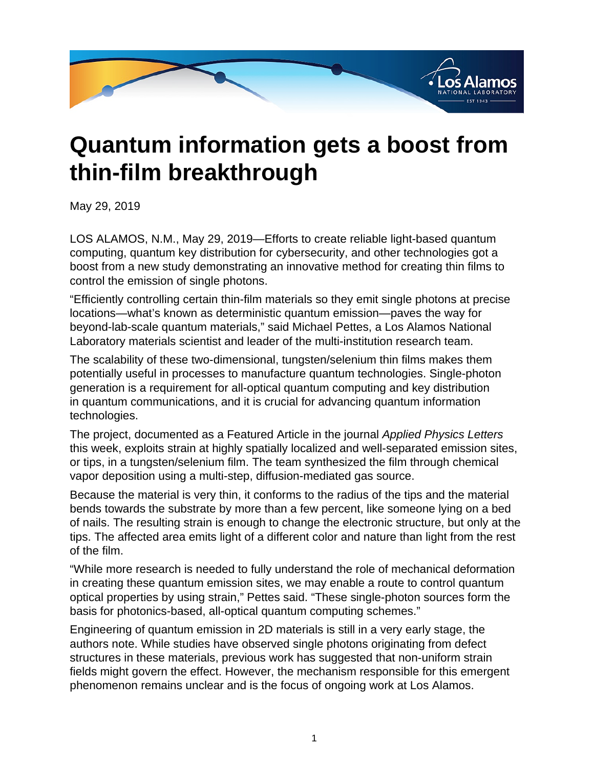

## **Quantum information gets a boost from thin-film breakthrough**

May 29, 2019

LOS ALAMOS, N.M., May 29, 2019—Efforts to create reliable light-based quantum computing, quantum key distribution for cybersecurity, and other technologies got a boost from a new study demonstrating an innovative method for creating thin films to control the emission of single photons.

"Efficiently controlling certain thin-film materials so they emit single photons at precise locations—what's known as deterministic quantum emission—paves the way for beyond-lab-scale quantum materials," said Michael Pettes, a Los Alamos National Laboratory materials scientist and leader of the multi-institution research team.

The scalability of these two-dimensional, tungsten/selenium thin films makes them potentially useful in processes to manufacture quantum technologies. Single-photon generation is a requirement for all-optical quantum computing and key distribution in quantum communications, and it is crucial for advancing quantum information technologies.

The project, documented as a Featured Article in the journal Applied Physics Letters this week, exploits strain at highly spatially localized and well-separated emission sites, or tips, in a tungsten/selenium film. The team synthesized the film through chemical vapor deposition using a multi-step, diffusion-mediated gas source.

Because the material is very thin, it conforms to the radius of the tips and the material bends towards the substrate by more than a few percent, like someone lying on a bed of nails. The resulting strain is enough to change the electronic structure, but only at the tips. The affected area emits light of a different color and nature than light from the rest of the film.

"While more research is needed to fully understand the role of mechanical deformation in creating these quantum emission sites, we may enable a route to control quantum optical properties by using strain," Pettes said. "These single-photon sources form the basis for photonics-based, all-optical quantum computing schemes."

Engineering of quantum emission in 2D materials is still in a very early stage, the authors note. While studies have observed single photons originating from defect structures in these materials, previous work has suggested that non-uniform strain fields might govern the effect. However, the mechanism responsible for this emergent phenomenon remains unclear and is the focus of ongoing work at Los Alamos.